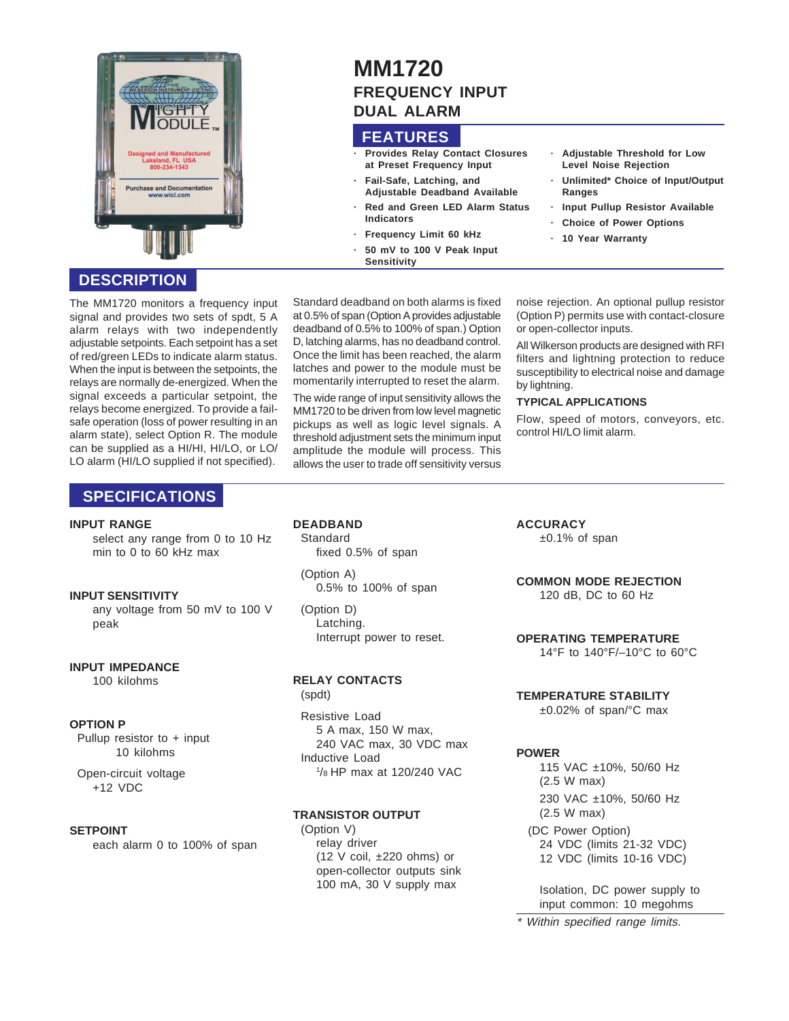

# **DESCRIPTION**

The MM1720 monitors a frequency input signal and provides two sets of spdt, 5 A alarm relays with two independently adjustable setpoints. Each setpoint has a set of red/green LEDs to indicate alarm status. When the input is between the setpoints, the relays are normally de-energized. When the signal exceeds a particular setpoint, the relays become energized. To provide a failsafe operation (loss of power resulting in an alarm state), select Option R. The module can be supplied as a HI/HI, HI/LO, or LO/ LO alarm (HI/LO supplied if not specified).

# **SPECIFICATIONS**

#### **INPUT RANGE**

select any range from 0 to 10 Hz min to 0 to 60 kHz max

#### **INPUT SENSITIVITY**

any voltage from 50 mV to 100 V peak

#### **INPUT IMPEDANCE**

100 kilohms

#### **OPTION P**

Pullup resistor to + input 10 kilohms

Open-circuit voltage +12 VDC

#### **SETPOINT**

each alarm 0 to 100% of span

# **MM1720 FREQUENCY INPUT DUAL ALARM**

### **FEATURES**

- **· Provides Relay Contact Closures at Preset Frequency Input**
	- **· Fail-Safe, Latching, and Adjustable Deadband Available**
- **· Red and Green LED Alarm Status Indicators**
- **Frequency Limit 60 kHz**
- **· 50 mV to 100 V Peak Input**
- **Sensitivity**

Standard deadband on both alarms is fixed at 0.5% of span (Option A provides adjustable deadband of 0.5% to 100% of span.) Option D, latching alarms, has no deadband control. Once the limit has been reached, the alarm latches and power to the module must be momentarily interrupted to reset the alarm.

The wide range of input sensitivity allows the MM1720 to be driven from low level magnetic pickups as well as logic level signals. A threshold adjustment sets the minimum input amplitude the module will process. This allows the user to trade off sensitivity versus

noise rejection. An optional pullup resistor (Option P) permits use with contact-closure or open-collector inputs.

**· Adjustable Threshold for Low Level Noise Rejection**

**· Unlimited\* Choice of Input/Output**

**· Input Pullup Resistor Available · Choice of Power Options · 10 Year Warranty**

All Wilkerson products are designed with RFI filters and lightning protection to reduce susceptibility to electrical noise and damage by lightning.

#### **TYPICAL APPLICATIONS**

**Ranges**

Flow, speed of motors, conveyors, etc. control HI/LO limit alarm.

## **DEADBAND**

**Standard** fixed 0.5% of span

(Option A) 0.5% to 100% of span

(Option D) Latching. Interrupt power to reset.

# **RELAY CONTACTS**

(spdt) Resistive Load 5 A max, 150 W max, 240 VAC max, 30 VDC max Inductive Load 1 /8 HP max at 120/240 VAC

#### **TRANSISTOR OUTPUT**

(Option V) relay driver (12 V coil, ±220 ohms) or open-collector outputs sink 100 mA, 30 V supply max

**ACCURACY**

±0.1% of span

**COMMON MODE REJECTION** 120 dB, DC to 60 Hz

**OPERATING TEMPERATURE** 14°F to 140°F/–10°C to 60°C

#### **TEMPERATURE STABILITY**

±0.02% of span/°C max

### **POWER**

115 VAC ±10%, 50/60 Hz (2.5 W max) 230 VAC ±10%, 50/60 Hz (2.5 W max) (DC Power Option) 24 VDC (limits 21-32 VDC)

12 VDC (limits 10-16 VDC)

Isolation, DC power supply to input common: 10 megohms

\* Within specified range limits.